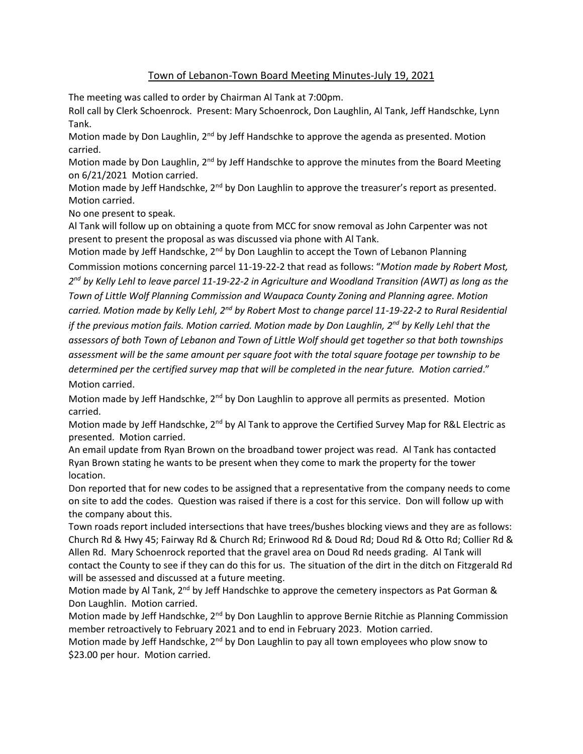## Town of Lebanon-Town Board Meeting Minutes-July 19, 2021

The meeting was called to order by Chairman Al Tank at 7:00pm.

Roll call by Clerk Schoenrock. Present: Mary Schoenrock, Don Laughlin, Al Tank, Jeff Handschke, Lynn Tank.

Motion made by Don Laughlin, 2<sup>nd</sup> by Jeff Handschke to approve the agenda as presented. Motion carried.

Motion made by Don Laughlin, 2<sup>nd</sup> by Jeff Handschke to approve the minutes from the Board Meeting on 6/21/2021 Motion carried.

Motion made by Jeff Handschke, 2<sup>nd</sup> by Don Laughlin to approve the treasurer's report as presented. Motion carried.

No one present to speak.

Al Tank will follow up on obtaining a quote from MCC for snow removal as John Carpenter was not present to present the proposal as was discussed via phone with Al Tank.

Motion made by Jeff Handschke, 2<sup>nd</sup> by Don Laughlin to accept the Town of Lebanon Planning Commission motions concerning parcel 11-19-22-2 that read as follows: "*Motion made by Robert Most, 2 nd by Kelly Lehl to leave parcel 11-19-22-2 in Agriculture and Woodland Transition (AWT) as long as the Town of Little Wolf Planning Commission and Waupaca County Zoning and Planning agree. Motion carried. Motion made by Kelly Lehl, 2nd by Robert Most to change parcel 11-19-22-2 to Rural Residential if the previous motion fails. Motion carried. Motion made by Don Laughlin, 2nd by Kelly Lehl that the assessors of both Town of Lebanon and Town of Little Wolf should get together so that both townships assessment will be the same amount per square foot with the total square footage per township to be determined per the certified survey map that will be completed in the near future. Motion carried*." Motion carried.

Motion made by Jeff Handschke, 2<sup>nd</sup> by Don Laughlin to approve all permits as presented. Motion carried.

Motion made by Jeff Handschke, 2<sup>nd</sup> by Al Tank to approve the Certified Survey Map for R&L Electric as presented. Motion carried.

An email update from Ryan Brown on the broadband tower project was read. Al Tank has contacted Ryan Brown stating he wants to be present when they come to mark the property for the tower location.

Don reported that for new codes to be assigned that a representative from the company needs to come on site to add the codes. Question was raised if there is a cost for this service. Don will follow up with the company about this.

Town roads report included intersections that have trees/bushes blocking views and they are as follows: Church Rd & Hwy 45; Fairway Rd & Church Rd; Erinwood Rd & Doud Rd; Doud Rd & Otto Rd; Collier Rd & Allen Rd. Mary Schoenrock reported that the gravel area on Doud Rd needs grading. Al Tank will contact the County to see if they can do this for us. The situation of the dirt in the ditch on Fitzgerald Rd will be assessed and discussed at a future meeting.

Motion made by Al Tank,  $2^{nd}$  by Jeff Handschke to approve the cemetery inspectors as Pat Gorman & Don Laughlin. Motion carried.

Motion made by Jeff Handschke, 2<sup>nd</sup> by Don Laughlin to approve Bernie Ritchie as Planning Commission member retroactively to February 2021 and to end in February 2023. Motion carried.

Motion made by Jeff Handschke, 2<sup>nd</sup> by Don Laughlin to pay all town employees who plow snow to \$23.00 per hour. Motion carried.